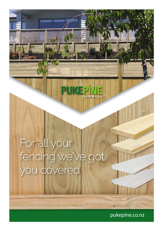# For all your fencing we've got<br>you covered

pukepine.co.nz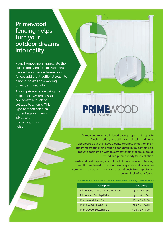## **Primewood fencing helps turn your outdoor dreams into reality.**

Many homeowners appreciate the classic look and feel of traditional painted wood fence. Primewood fences add that traditional touch to a home, as well as providing privacy and security.

A solid privacy fence using the Shiplap or TGV profiles will add an extra touch of solitude to a home. This type of fence can also protect against harsh winds and distracting street noise.

Primewood machine finished palings represent a quality fencing option, they still have a classic, traditional appearance but they have a contemporary, smoother finish. The Primewood fencing range offer durability by combining a robust specification with quality materials that are supplied treated and primed ready for installation.

Posts and post capping are not part of the Primewood fencing solution and need to be purchased separately. However we recommend 90 x 90 or 112 x 112 H5 gauged posts to complete the premium look of your fence.

#### PRIMEWOOD FENCING - ALL COMPONENTS FJ H3.1 PREPRIMED

| <b>Description</b>               | Size (mm)       |
|----------------------------------|-----------------|
| Primewood Tongue & Groove Paling | 140 x 18 x 1800 |
| Primewood Shiplap Paling         | 140 x 18 x 1800 |
| Primewood Top Rail               | 90 X 42 X 5400  |
| Primewood Middle Rail            | 90 x 38 x 5400  |
| <b>Primewood Bottom Rail</b>     | 90 X 42 X 5400  |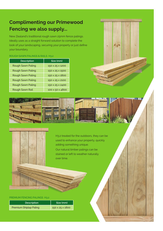### **Complimenting our Primewood Fencing we also supply...**

New Zealand's traditional rough sawn 25mm fence palings. Ideally uses as a straight forward solution to complete the look of your landscaping, securing your property or just define your boundary.

#### ROUGH SAWN PALINGS & RAILS H3.2

| <b>Description</b>       | Size (mm)       |
|--------------------------|-----------------|
| Rough Sawn Paling        | 150 X 25 X 1200 |
| Rough Sawn Paling        | 150 X 25 X 1500 |
| <b>Rough Sawn Paling</b> | 150 x 25 x 1800 |
| <b>Rough Sawn Paling</b> | 150 X 25 X 2100 |
| Rough Sawn Paling        | 150 x 25 x 2400 |
| Rough Sawn Rail          | 100 x 50 x 4800 |







H3.2 treated for the outdoors, they can be used to enhance your property, quickly adding something unique.

Our natural timber palings can be stained or left to weather naturally over time.

#### PREMIUM FENCING PALINGS H3.2

| <b>Description</b>     | Size (mm)                   |
|------------------------|-----------------------------|
| Premium Shiplap Paling | $150 \times 25 \times 1800$ |